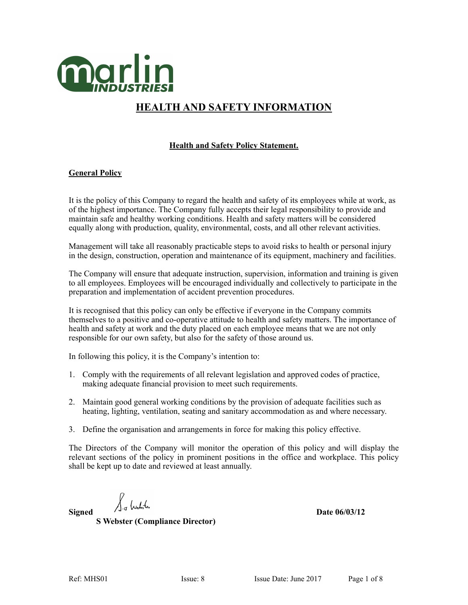

# **HEALTH AND SAFETY INFORMATION**

# **Health and Safety Policy Statement.**

# **General Policy**

It is the policy of this Company to regard the health and safety of its employees while at work, as of the highest importance. The Company fully accepts their legal responsibility to provide and maintain safe and healthy working conditions. Health and safety matters will be considered equally along with production, quality, environmental, costs, and all other relevant activities.

Management will take all reasonably practicable steps to avoid risks to health or personal injury in the design, construction, operation and maintenance of its equipment, machinery and facilities.

The Company will ensure that adequate instruction, supervision, information and training is given to all employees. Employees will be encouraged individually and collectively to participate in the preparation and implementation of accident prevention procedures.

It is recognised that this policy can only be effective if everyone in the Company commits themselves to a positive and co-operative attitude to health and safety matters. The importance of health and safety at work and the duty placed on each employee means that we are not only responsible for our own safety, but also for the safety of those around us.

In following this policy, it is the Company's intention to:

- 1. Comply with the requirements of all relevant legislation and approved codes of practice, making adequate financial provision to meet such requirements.
- 2. Maintain good general working conditions by the provision of adequate facilities such as heating, lighting, ventilation, seating and sanitary accommodation as and where necessary.
- 3. Define the organisation and arrangements in force for making this policy effective.

The Directors of the Company will monitor the operation of this policy and will display the relevant sections of the policy in prominent positions in the office and workplace. This policy shall be kept up to date and reviewed at least annually.

**S Webster (Compliance Director)**

Signed  $\int_{\frac{1}{4}} \int_{\infty}^{\infty} \int_{\infty}^{\infty}$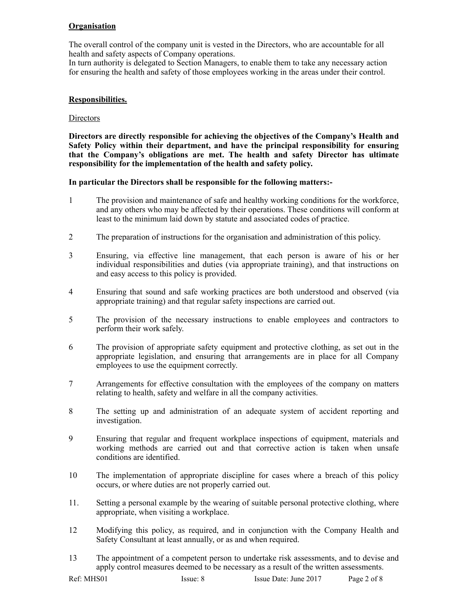# **Organisation**

The overall control of the company unit is vested in the Directors, who are accountable for all health and safety aspects of Company operations.

In turn authority is delegated to Section Managers, to enable them to take any necessary action for ensuring the health and safety of those employees working in the areas under their control.

#### **Responsibilities.**

#### **Directors**

**Directors are directly responsible for achieving the objectives of the Company's Health and Safety Policy within their department, and have the principal responsibility for ensuring that the Company's obligations are met. The health and safety Director has ultimate responsibility for the implementation of the health and safety policy.** 

#### **In particular the Directors shall be responsible for the following matters:-**

- 1 The provision and maintenance of safe and healthy working conditions for the workforce, and any others who may be affected by their operations. These conditions will conform at least to the minimum laid down by statute and associated codes of practice.
- 2 The preparation of instructions for the organisation and administration of this policy.
- 3 Ensuring, via effective line management, that each person is aware of his or her individual responsibilities and duties (via appropriate training), and that instructions on and easy access to this policy is provided.
- 4 Ensuring that sound and safe working practices are both understood and observed (via appropriate training) and that regular safety inspections are carried out.
- 5 The provision of the necessary instructions to enable employees and contractors to perform their work safely.
- 6 The provision of appropriate safety equipment and protective clothing, as set out in the appropriate legislation, and ensuring that arrangements are in place for all Company employees to use the equipment correctly.
- 7 Arrangements for effective consultation with the employees of the company on matters relating to health, safety and welfare in all the company activities.
- 8 The setting up and administration of an adequate system of accident reporting and investigation.
- 9 Ensuring that regular and frequent workplace inspections of equipment, materials and working methods are carried out and that corrective action is taken when unsafe conditions are identified.
- 10 The implementation of appropriate discipline for cases where a breach of this policy occurs, or where duties are not properly carried out.
- 11. Setting a personal example by the wearing of suitable personal protective clothing, where appropriate, when visiting a workplace.
- 12 Modifying this policy, as required, and in conjunction with the Company Health and Safety Consultant at least annually, or as and when required.
- 13 The appointment of a competent person to undertake risk assessments, and to devise and apply control measures deemed to be necessary as a result of the written assessments.

| Ref: MHS01 | Issue: 8 | Issue Date: June 2017 | Page 2 of 8 |
|------------|----------|-----------------------|-------------|
|------------|----------|-----------------------|-------------|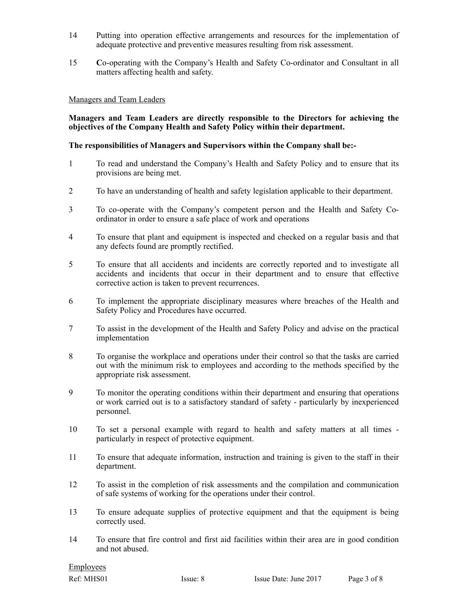- 14 Putting into operation effective arrangements and resources for the implementation of adequate protective and preventive measures resulting from risk assessment.
- 15 **C**o-operating with the Company's Health and Safety Co-ordinator and Consultant in all matters affecting health and safety.

#### Managers and Team Leaders

#### **Managers and Team Leaders are directly responsible to the Directors for achieving the objectives of the Company Health and Safety Policy within their department.**

#### **The responsibilities of Managers and Supervisors within the Company shall be:-**

- 1 To read and understand the Company's Health and Safety Policy and to ensure that its provisions are being met.
- 2 To have an understanding of health and safety legislation applicable to their department.
- 3 To co-operate with the Company's competent person and the Health and Safety Coordinator in order to ensure a safe place of work and operations
- 4 To ensure that plant and equipment is inspected and checked on a regular basis and that any defects found are promptly rectified.
- 5 To ensure that all accidents and incidents are correctly reported and to investigate all accidents and incidents that occur in their department and to ensure that effective corrective action is taken to prevent recurrences.
- 6 To implement the appropriate disciplinary measures where breaches of the Health and Safety Policy and Procedures have occurred.
- 7 To assist in the development of the Health and Safety Policy and advise on the practical implementation
- 8 To organise the workplace and operations under their control so that the tasks are carried out with the minimum risk to employees and according to the methods specified by the appropriate risk assessment.
- 9 To monitor the operating conditions within their department and ensuring that operations or work carried out is to a satisfactory standard of safety - particularly by inexperienced personnel.
- 10 To set a personal example with regard to health and safety matters at all times particularly in respect of protective equipment.
- 11 To ensure that adequate information, instruction and training is given to the staff in their department.
- 12 To assist in the completion of risk assessments and the compilation and communication of safe systems of working for the operations under their control.
- 13 To ensure adequate supplies of protective equipment and that the equipment is being correctly used.
- 14 To ensure that fire control and first aid facilities within their area are in good condition and not abused.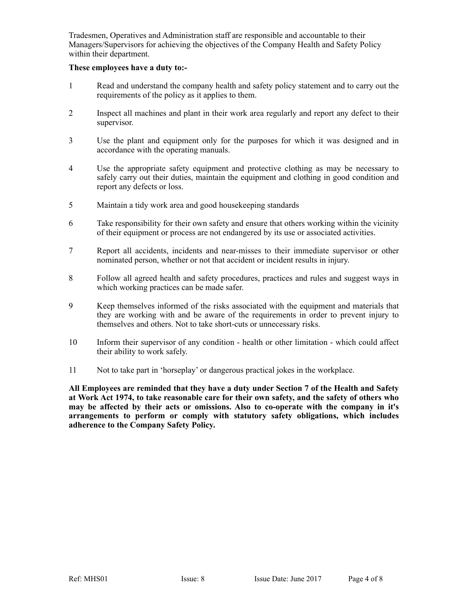Tradesmen, Operatives and Administration staff are responsible and accountable to their Managers/Supervisors for achieving the objectives of the Company Health and Safety Policy within their department.

#### **These employees have a duty to:-**

- 1 Read and understand the company health and safety policy statement and to carry out the requirements of the policy as it applies to them.
- 2 Inspect all machines and plant in their work area regularly and report any defect to their supervisor.
- 3 Use the plant and equipment only for the purposes for which it was designed and in accordance with the operating manuals.
- 4 Use the appropriate safety equipment and protective clothing as may be necessary to safely carry out their duties, maintain the equipment and clothing in good condition and report any defects or loss.
- 5 Maintain a tidy work area and good housekeeping standards
- 6 Take responsibility for their own safety and ensure that others working within the vicinity of their equipment or process are not endangered by its use or associated activities.
- 7 Report all accidents, incidents and near-misses to their immediate supervisor or other nominated person, whether or not that accident or incident results in injury.
- 8 Follow all agreed health and safety procedures, practices and rules and suggest ways in which working practices can be made safer.
- 9 Keep themselves informed of the risks associated with the equipment and materials that they are working with and be aware of the requirements in order to prevent injury to themselves and others. Not to take short-cuts or unnecessary risks.
- 10 Inform their supervisor of any condition health or other limitation which could affect their ability to work safely.
- 11 Not to take part in 'horseplay' or dangerous practical jokes in the workplace.

**All Employees are reminded that they have a duty under Section 7 of the Health and Safety at Work Act 1974, to take reasonable care for their own safety, and the safety of others who may be affected by their acts or omissions. Also to co-operate with the company in it's arrangements to perform or comply with statutory safety obligations, which includes adherence to the Company Safety Policy.**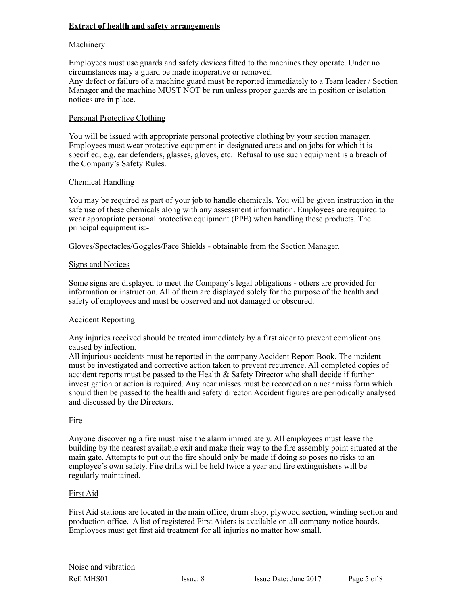# **Extract of health and safety arrangements**

## **Machinery**

Employees must use guards and safety devices fitted to the machines they operate. Under no circumstances may a guard be made inoperative or removed. Any defect or failure of a machine guard must be reported immediately to a Team leader / Section Manager and the machine MUST NOT be run unless proper guards are in position or isolation notices are in place.

## Personal Protective Clothing

You will be issued with appropriate personal protective clothing by your section manager. Employees must wear protective equipment in designated areas and on jobs for which it is specified, e.g. ear defenders, glasses, gloves, etc. Refusal to use such equipment is a breach of the Company's Safety Rules.

## Chemical Handling

You may be required as part of your job to handle chemicals. You will be given instruction in the safe use of these chemicals along with any assessment information. Employees are required to wear appropriate personal protective equipment (PPE) when handling these products. The principal equipment is:-

Gloves/Spectacles/Goggles/Face Shields - obtainable from the Section Manager.

# **Signs and Notices**

Some signs are displayed to meet the Company's legal obligations - others are provided for information or instruction. All of them are displayed solely for the purpose of the health and safety of employees and must be observed and not damaged or obscured.

## Accident Reporting

Any injuries received should be treated immediately by a first aider to prevent complications caused by infection.

All injurious accidents must be reported in the company Accident Report Book. The incident must be investigated and corrective action taken to prevent recurrence. All completed copies of accident reports must be passed to the Health & Safety Director who shall decide if further investigation or action is required. Any near misses must be recorded on a near miss form which should then be passed to the health and safety director. Accident figures are periodically analysed and discussed by the Directors.

## Fire

Anyone discovering a fire must raise the alarm immediately. All employees must leave the building by the nearest available exit and make their way to the fire assembly point situated at the main gate. Attempts to put out the fire should only be made if doing so poses no risks to an employee's own safety. Fire drills will be held twice a year and fire extinguishers will be regularly maintained.

## First Aid

First Aid stations are located in the main office, drum shop, plywood section, winding section and production office. A list of registered First Aiders is available on all company notice boards. Employees must get first aid treatment for all injuries no matter how small.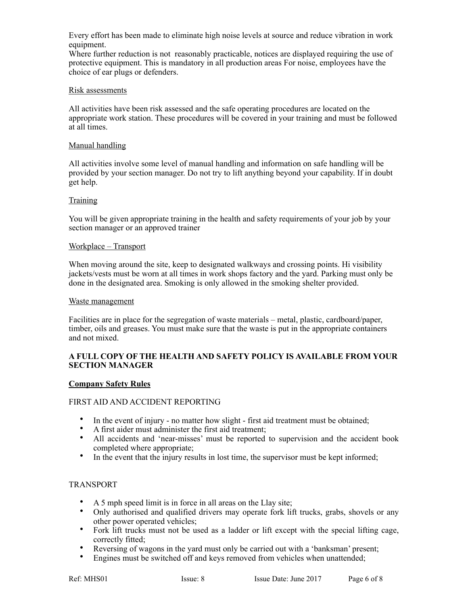Every effort has been made to eliminate high noise levels at source and reduce vibration in work equipment.

Where further reduction is not reasonably practicable, notices are displayed requiring the use of protective equipment. This is mandatory in all production areas For noise, employees have the choice of ear plugs or defenders.

## Risk assessments

All activities have been risk assessed and the safe operating procedures are located on the appropriate work station. These procedures will be covered in your training and must be followed at all times.

#### Manual handling

All activities involve some level of manual handling and information on safe handling will be provided by your section manager. Do not try to lift anything beyond your capability. If in doubt get help.

## **Training**

You will be given appropriate training in the health and safety requirements of your job by your section manager or an approved trainer

#### Workplace – Transport

When moving around the site, keep to designated walkways and crossing points. Hi visibility jackets/vests must be worn at all times in work shops factory and the yard. Parking must only be done in the designated area. Smoking is only allowed in the smoking shelter provided.

#### Waste management

Facilities are in place for the segregation of waste materials – metal, plastic, cardboard/paper, timber, oils and greases. You must make sure that the waste is put in the appropriate containers and not mixed.

## **A FULL COPY OF THE HEALTH AND SAFETY POLICY IS AVAILABLE FROM YOUR SECTION MANAGER**

## **Company Safety Rules**

## FIRST AID AND ACCIDENT REPORTING

- In the event of injury no matter how slight first aid treatment must be obtained;
- A first aider must administer the first aid treatment;
- All accidents and 'near-misses' must be reported to supervision and the accident book completed where appropriate;
- In the event that the injury results in lost time, the supervisor must be kept informed;

## TRANSPORT

- A 5 mph speed limit is in force in all areas on the Llay site;
- Only authorised and qualified drivers may operate fork lift trucks, grabs, shovels or any other power operated vehicles;
- Fork lift trucks must not be used as a ladder or lift except with the special lifting cage, correctly fitted;
- Reversing of wagons in the yard must only be carried out with a 'banksman' present;
- Engines must be switched off and keys removed from vehicles when unattended;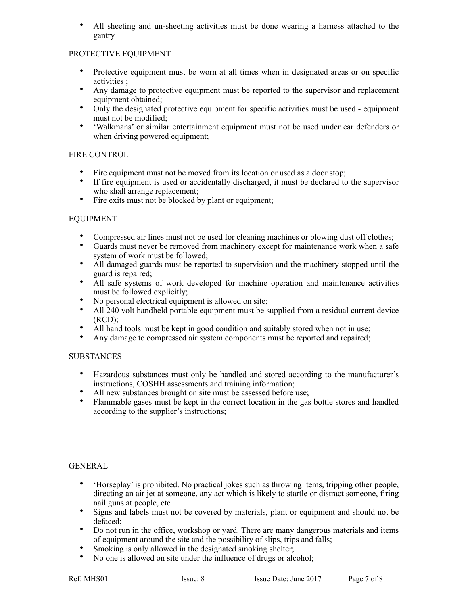All sheeting and un-sheeting activities must be done wearing a harness attached to the gantry

# PROTECTIVE EQUIPMENT

- Protective equipment must be worn at all times when in designated areas or on specific activities ;
- Any damage to protective equipment must be reported to the supervisor and replacement equipment obtained;
- Only the designated protective equipment for specific activities must be used equipment must not be modified;
- 'Walkmans' or similar entertainment equipment must not be used under ear defenders or when driving powered equipment;

## FIRE CONTROL

- Fire equipment must not be moved from its location or used as a door stop;
- If fire equipment is used or accidentally discharged, it must be declared to the supervisor who shall arrange replacement;
- Fire exits must not be blocked by plant or equipment;

# EQUIPMENT

- Compressed air lines must not be used for cleaning machines or blowing dust off clothes;
- Guards must never be removed from machinery except for maintenance work when a safe system of work must be followed;
- All damaged guards must be reported to supervision and the machinery stopped until the guard is repaired;
- All safe systems of work developed for machine operation and maintenance activities must be followed explicitly;
- No personal electrical equipment is allowed on site;
- All 240 volt handheld portable equipment must be supplied from a residual current device  $(RCD)$ ;
- All hand tools must be kept in good condition and suitably stored when not in use;
- Any damage to compressed air system components must be reported and repaired;

## SUBSTANCES

- Hazardous substances must only be handled and stored according to the manufacturer's instructions, COSHH assessments and training information;
- All new substances brought on site must be assessed before use;
- Flammable gases must be kept in the correct location in the gas bottle stores and handled according to the supplier's instructions;

# GENERAL

- 'Horseplay' is prohibited. No practical jokes such as throwing items, tripping other people, directing an air jet at someone, any act which is likely to startle or distract someone, firing nail guns at people, etc
- Signs and labels must not be covered by materials, plant or equipment and should not be defaced;
- Do not run in the office, workshop or yard. There are many dangerous materials and items of equipment around the site and the possibility of slips, trips and falls;
- Smoking is only allowed in the designated smoking shelter;
- No one is allowed on site under the influence of drugs or alcohol;